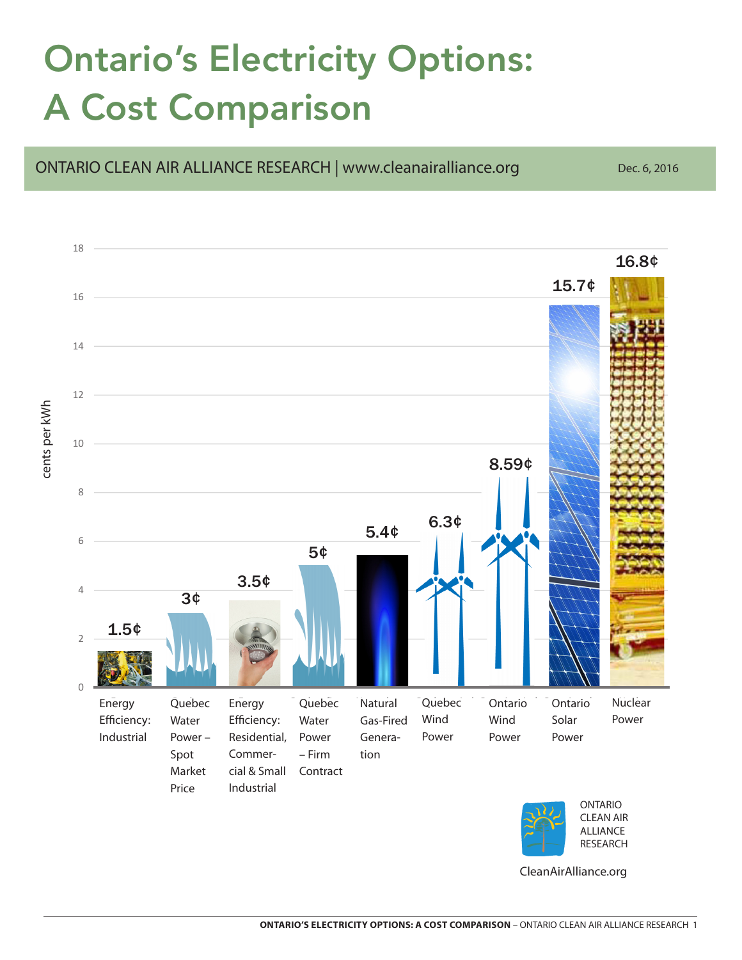## Ontario's Electricity Options: A Cost Comparison



CleanAirAlliance.org